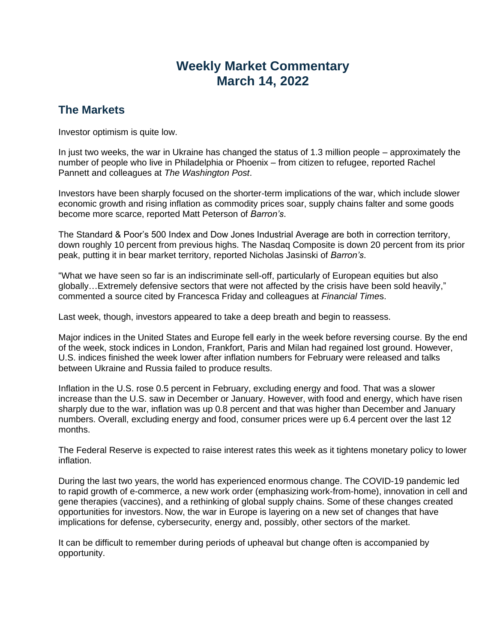## **Weekly Market Commentary March 14, 2022**

## **The Markets**

Investor optimism is quite low.

In just two weeks, the war in Ukraine has changed the status of 1.3 million people – approximately the number of people who live in Philadelphia or Phoenix – from citizen to refugee, reported Rachel Pannett and colleagues at *The Washington Post*.

Investors have been sharply focused on the shorter-term implications of the war, which include slower economic growth and rising inflation as commodity prices soar, supply chains falter and some goods become more scarce, reported Matt Peterson of *Barron's*.

The Standard & Poor's 500 Index and Dow Jones Industrial Average are both in correction territory, down roughly 10 percent from previous highs. The Nasdaq Composite is down 20 percent from its prior peak, putting it in bear market territory, reported Nicholas Jasinski of *Barron's*.

"What we have seen so far is an indiscriminate sell-off, particularly of European equities but also globally…Extremely defensive sectors that were not affected by the crisis have been sold heavily," commented a source cited by Francesca Friday and colleagues at *Financial Time*s.

Last week, though, investors appeared to take a deep breath and begin to reassess.

Major indices in the United States and Europe fell early in the week before reversing course. By the end of the week, stock indices in London, Frankfort, Paris and Milan had regained lost ground. However, U.S. indices finished the week lower after inflation numbers for February were released and talks between Ukraine and Russia failed to produce results.

Inflation in the U.S. rose 0.5 percent in February, excluding energy and food. That was a slower increase than the U.S. saw in December or January. However, with food and energy, which have risen sharply due to the war, inflation was up 0.8 percent and that was higher than December and January numbers. Overall, excluding energy and food, consumer prices were up 6.4 percent over the last 12 months.

The Federal Reserve is expected to raise interest rates this week as it tightens monetary policy to lower inflation.

During the last two years, the world has experienced enormous change. The COVID-19 pandemic led to rapid growth of e-commerce, a new work order (emphasizing work-from-home), innovation in cell and gene therapies (vaccines), and a rethinking of global supply chains. Some of these changes created opportunities for investors. Now, the war in Europe is layering on a new set of changes that have implications for defense, cybersecurity, energy and, possibly, other sectors of the market.

It can be difficult to remember during periods of upheaval but change often is accompanied by opportunity.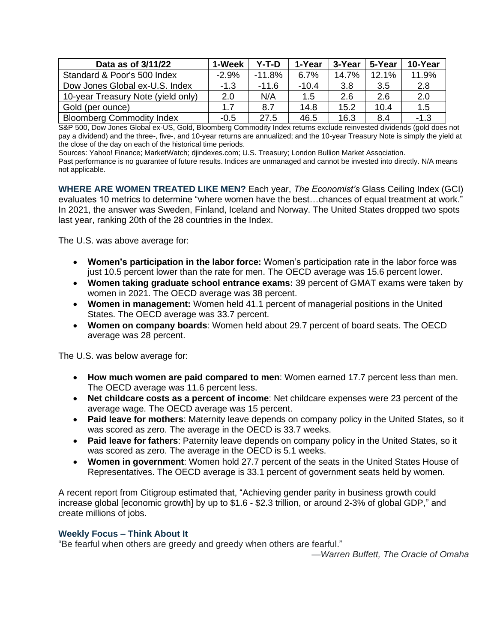| Data as of 3/11/22                 | 1-Week  | Y-T-D    | 1-Year  | 3-Year | 5-Year | 10-Year |
|------------------------------------|---------|----------|---------|--------|--------|---------|
| Standard & Poor's 500 Index        | $-2.9%$ | $-11.8%$ | 6.7%    | 14.7%  | 12.1%  | 11.9%   |
| Dow Jones Global ex-U.S. Index     | $-1.3$  | $-11.6$  | $-10.4$ | 3.8    | 3.5    | 2.8     |
| 10-year Treasury Note (yield only) | 2.0     | N/A      | 1.5     | 2.6    | 2.6    | 2.0     |
| Gold (per ounce)                   | 17      | 8.7      | 14.8    | 15.2   | 10.4   | 1.5     |
| <b>Bloomberg Commodity Index</b>   | $-0.5$  | 27.5     | 46.5    | 16.3   | 8.4    | $-1.3$  |

S&P 500, Dow Jones Global ex-US, Gold, Bloomberg Commodity Index returns exclude reinvested dividends (gold does not pay a dividend) and the three-, five-, and 10-year returns are annualized; and the 10-year Treasury Note is simply the yield at the close of the day on each of the historical time periods.

Sources: Yahoo! Finance; MarketWatch; djindexes.com; U.S. Treasury; London Bullion Market Association.

Past performance is no guarantee of future results. Indices are unmanaged and cannot be invested into directly. N/A means not applicable.

**WHERE ARE WOMEN TREATED LIKE MEN?** Each year, *The Economist's* Glass Ceiling Index (GCI) evaluates 10 metrics to determine "where women have the best…chances of equal treatment at work." In 2021, the answer was Sweden, Finland, Iceland and Norway. The United States dropped two spots last year, ranking 20th of the 28 countries in the Index.

The U.S. was above average for:

- **Women's participation in the labor force:** Women's participation rate in the labor force was just 10.5 percent lower than the rate for men. The OECD average was 15.6 percent lower.
- **Women taking graduate school entrance exams:** 39 percent of GMAT exams were taken by women in 2021. The OECD average was 38 percent.
- **Women in management:** Women held 41.1 percent of managerial positions in the United States. The OECD average was 33.7 percent.
- **Women on company boards**: Women held about 29.7 percent of board seats. The OECD average was 28 percent.

The U.S. was below average for:

- **How much women are paid compared to men**: Women earned 17.7 percent less than men. The OECD average was 11.6 percent less.
- **Net childcare costs as a percent of income**: Net childcare expenses were 23 percent of the average wage. The OECD average was 15 percent.
- **Paid leave for mothers**: Maternity leave depends on company policy in the United States, so it was scored as zero. The average in the OECD is 33.7 weeks.
- **Paid leave for fathers**: Paternity leave depends on company policy in the United States, so it was scored as zero. The average in the OECD is 5.1 weeks.
- **Women in government**: Women hold 27.7 percent of the seats in the United States House of Representatives. The OECD average is 33.1 percent of government seats held by women.

A recent report from Citigroup estimated that, "Achieving gender parity in business growth could increase global [economic growth] by up to \$1.6 - \$2.3 trillion, or around 2-3% of global GDP," and create millions of jobs.

## **Weekly Focus – Think About It**

"Be fearful when others are greedy and greedy when others are fearful."

*—Warren Buffett, The Oracle of Omaha*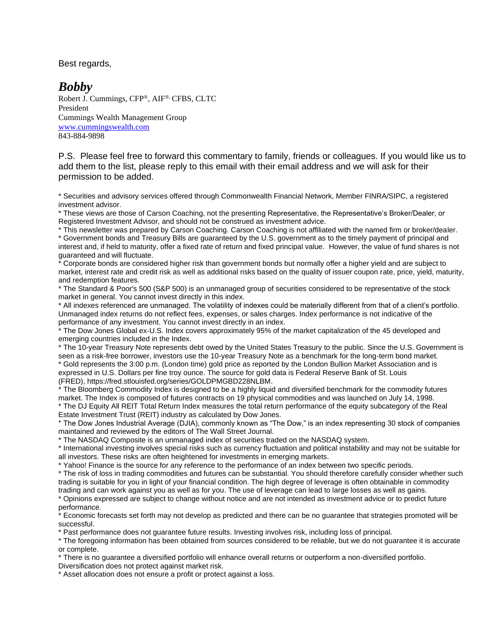Best regards,

*Bobby* Robert J. Cummings, CFP®, AIF®, CFBS, CLTC President Cummings Wealth Management Group [www.cummingswealth.com](http://www.cummingswealth.com/) 843-884-9898

P.S. Please feel free to forward this commentary to family, friends or colleagues. If you would like us to add them to the list, please reply to this email with their email address and we will ask for their permission to be added.

\* Securities and advisory services offered through Commonwealth Financial Network, Member FINRA/SIPC, a registered investment advisor.

\* These views are those of Carson Coaching, not the presenting Representative, the Representative's Broker/Dealer, or Registered Investment Advisor, and should not be construed as investment advice.

\* This newsletter was prepared by Carson Coaching. Carson Coaching is not affiliated with the named firm or broker/dealer. \* Government bonds and Treasury Bills are guaranteed by the U.S. government as to the timely payment of principal and interest and, if held to maturity, offer a fixed rate of return and fixed principal value. However, the value of fund shares is not guaranteed and will fluctuate.

\* Corporate bonds are considered higher risk than government bonds but normally offer a higher yield and are subject to market, interest rate and credit risk as well as additional risks based on the quality of issuer coupon rate, price, yield, maturity, and redemption features.

\* The Standard & Poor's 500 (S&P 500) is an unmanaged group of securities considered to be representative of the stock market in general. You cannot invest directly in this index.

\* All indexes referenced are unmanaged. The volatility of indexes could be materially different from that of a client's portfolio. Unmanaged index returns do not reflect fees, expenses, or sales charges. Index performance is not indicative of the performance of any investment. You cannot invest directly in an index.

\* The Dow Jones Global ex-U.S. Index covers approximately 95% of the market capitalization of the 45 developed and emerging countries included in the Index.

\* The 10-year Treasury Note represents debt owed by the United States Treasury to the public. Since the U.S. Government is seen as a risk-free borrower, investors use the 10-year Treasury Note as a benchmark for the long-term bond market. \* Gold represents the 3:00 p.m. (London time) gold price as reported by the London Bullion Market Association and is

expressed in U.S. Dollars per fine troy ounce. The source for gold data is Federal Reserve Bank of St. Louis (FRED), https://fred.stlouisfed.org/series/GOLDPMGBD228NLBM.

\* The Bloomberg Commodity Index is designed to be a highly liquid and diversified benchmark for the commodity futures market. The Index is composed of futures contracts on 19 physical commodities and was launched on July 14, 1998. \* The DJ Equity All REIT Total Return Index measures the total return performance of the equity subcategory of the Real Estate Investment Trust (REIT) industry as calculated by Dow Jones.

\* The Dow Jones Industrial Average (DJIA), commonly known as "The Dow," is an index representing 30 stock of companies maintained and reviewed by the editors of The Wall Street Journal.

\* The NASDAQ Composite is an unmanaged index of securities traded on the NASDAQ system.

\* International investing involves special risks such as currency fluctuation and political instability and may not be suitable for all investors. These risks are often heightened for investments in emerging markets.

\* Yahoo! Finance is the source for any reference to the performance of an index between two specific periods.

\* The risk of loss in trading commodities and futures can be substantial. You should therefore carefully consider whether such trading is suitable for you in light of your financial condition. The high degree of leverage is often obtainable in commodity trading and can work against you as well as for you. The use of leverage can lead to large losses as well as gains.

\* Opinions expressed are subject to change without notice and are not intended as investment advice or to predict future performance.

\* Economic forecasts set forth may not develop as predicted and there can be no guarantee that strategies promoted will be successful.

\* Past performance does not guarantee future results. Investing involves risk, including loss of principal.

\* The foregoing information has been obtained from sources considered to be reliable, but we do not guarantee it is accurate or complete.

\* There is no guarantee a diversified portfolio will enhance overall returns or outperform a non-diversified portfolio.

Diversification does not protect against market risk.

\* Asset allocation does not ensure a profit or protect against a loss.